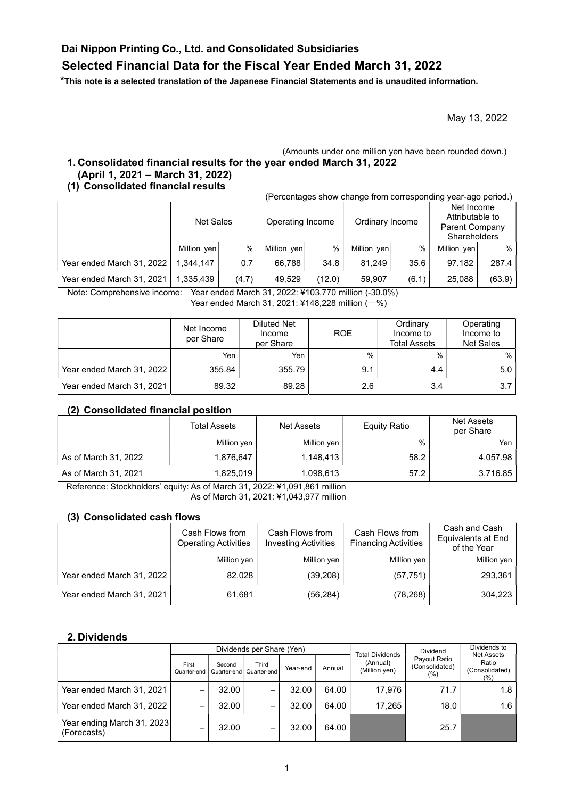## Dai Nippon Printing Co., Ltd. and Consolidated Subsidiaries

# Selected Financial Data for the Fiscal Year Ended March 31, 2022

\*This note is a selected translation of the Japanese Financial Statements and is unaudited information.

May 13, 2022

#### (Amounts under one million yen have been rounded down.) 1. Consolidated financial results for the year ended March 31, 2022 (April 1, 2021 – March 31, 2022)

#### (1) Consolidated financial results

(Percentages show change from corresponding year-ago period.)

|                           | Net Sales   |       | Operating Income |        | Ordinary Income |       | Net Income<br>Attributable to<br>Parent Company<br><b>Shareholders</b> |        |
|---------------------------|-------------|-------|------------------|--------|-----------------|-------|------------------------------------------------------------------------|--------|
|                           | Million yen | %     | Million yen      | %      | Million yen     | $\%$  | Million yen                                                            | $\%$   |
| Year ended March 31, 2022 | 1.344.147   | 0.7   | 66.788           | 34.8   | 81.249          | 35.6  | 97.182                                                                 | 287.4  |
| Year ended March 31, 2021 | 1.335.439   | (4.7) | 49.529           | (12.0) | 59.907          | (6.1) | 25.088                                                                 | (63.9) |

Note: Comprehensive income: Year ended March 31, 2022: ¥103,770 million (-30.0%) Year ended March 31, 2021: ¥148,228 million  $(-%)$ 

|                           | Net Income<br>per Share | <b>Diluted Net</b><br>Income<br>per Share | <b>ROE</b> | Ordinary<br>Income to<br><b>Total Assets</b> | Operating<br>Income to<br><b>Net Sales</b> |
|---------------------------|-------------------------|-------------------------------------------|------------|----------------------------------------------|--------------------------------------------|
|                           | Yen                     | Yen                                       | $\%$       | $\%$                                         | $%$ 1                                      |
| Year ended March 31, 2022 | 355.84                  | 355.79                                    | 9.1        | 4.4                                          | 5.0                                        |
| Year ended March 31, 2021 | 89.32                   | 89.28                                     | 2.6        | 3.4                                          | 3.7                                        |

#### (2) Consolidated financial position

|                      | <b>Total Assets</b> | <b>Net Assets</b> | <b>Equity Ratio</b> | <b>Net Assets</b><br>per Share |
|----------------------|---------------------|-------------------|---------------------|--------------------------------|
|                      | Million yen         | Million yen       | %                   | Yen                            |
| As of March 31, 2022 | 1,876,647           | 1,148,413         | 58.2                | 4,057.98                       |
| As of March 31, 2021 | 1,825,019           | 1,098,613         | 57.2                | 3,716.85                       |

Reference: Stockholders' equity: As of March 31, 2022: ¥1,091,861 million As of March 31, 2021: ¥1,043,977 million

#### (3) Consolidated cash flows

|                           | Cash Flows from<br><b>Operating Activities</b> | Cash Flows from<br><b>Investing Activities</b> | Cash Flows from<br><b>Financing Activities</b> | Cash and Cash<br>Equivalents at End<br>of the Year |
|---------------------------|------------------------------------------------|------------------------------------------------|------------------------------------------------|----------------------------------------------------|
|                           | Million yen                                    | Million yen                                    | Million yen                                    | Million yen                                        |
| Year ended March 31, 2022 | 82,028                                         | (39, 208)                                      | (57, 751)                                      | 293,361                                            |
| Year ended March 31, 2021 | 61,681                                         | (56, 284)                                      | (78, 268)                                      | 304,223                                            |

#### 2. Dividends

|                                           |                      |                       | Dividends per Share (Yen) |          |        |                                                     | <b>Dividend</b>                        | Dividends to                                         |
|-------------------------------------------|----------------------|-----------------------|---------------------------|----------|--------|-----------------------------------------------------|----------------------------------------|------------------------------------------------------|
|                                           | First<br>Quarter-end | Second<br>Quarter-end | Third<br>Quarter-end      | Year-end | Annual | <b>Total Dividends</b><br>(Annual)<br>(Million yen) | Payout Ratio<br>(Consolidated)<br>(% ) | <b>Net Assets</b><br>Ratio<br>(Consolidated)<br>(% ) |
| Year ended March 31, 2021                 |                      | 32.00                 |                           | 32.00    | 64.00  | 17.976                                              | 71.7                                   | 1.8                                                  |
| Year ended March 31, 2022                 | -                    | 32.00                 | -                         | 32.00    | 64.00  | 17.265                                              | 18.0                                   | 1.6                                                  |
| Year ending March 31, 2023<br>(Forecasts) | –                    | 32.00                 | –                         | 32.00    | 64.00  |                                                     | 25.7                                   |                                                      |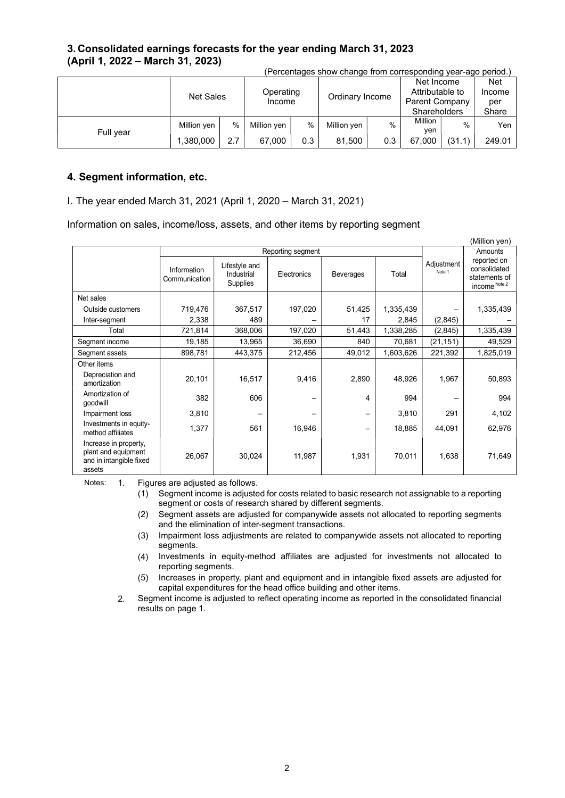### 3. Consolidated earnings forecasts for the year ending March 31, 2023 (April 1, 2022 – March 31, 2023)

|           |             | <b>Net Sales</b> |             | Operating<br>Income |             | Ordinary Income |                | Net Income<br>Attributable to<br><b>Parent Company</b><br><b>Shareholders</b> |        |
|-----------|-------------|------------------|-------------|---------------------|-------------|-----------------|----------------|-------------------------------------------------------------------------------|--------|
| Full year | Million yen | $\%$             | Million yen | $\%$                | Million yen | $\%$            | Million<br>ven | $\%$                                                                          | Yen    |
|           | 1,380,000   | 2.7              | 67.000      | 0.3                 | 81,500      | 0.3             | 67.000         | (31.1)                                                                        | 249.01 |

(Percentages show change from corresponding year-ago period.)

### 4. Segment information, etc.

#### I. The year ended March 31, 2021 (April 1, 2020 – March 31, 2021)

Information on sales, income/loss, assets, and other items by reporting segment

|                                                                                   |                              |                                         | Reporting segment |                   |           |                      | Amounts                                                       |  |  |  |
|-----------------------------------------------------------------------------------|------------------------------|-----------------------------------------|-------------------|-------------------|-----------|----------------------|---------------------------------------------------------------|--|--|--|
|                                                                                   | Information<br>Communication | Lifestyle and<br>Industrial<br>Supplies | Electronics       | Beverages         | Total     | Adjustment<br>Note 1 | reported on<br>consolidated<br>statements of<br>income Note 2 |  |  |  |
| Net sales                                                                         |                              |                                         |                   |                   |           |                      |                                                               |  |  |  |
| Outside customers                                                                 | 719,476                      | 367,517                                 | 197,020           | 51,425            | 1,335,439 |                      | 1,335,439                                                     |  |  |  |
| Inter-segment                                                                     | 2,338                        | 489                                     |                   | 17                | 2,845     | (2,845)              |                                                               |  |  |  |
| Total                                                                             | 721,814                      | 368,006                                 | 197,020           | 51,443            | 1,338,285 | (2,845)              | 1,335,439                                                     |  |  |  |
| Segment income                                                                    | 19,185                       | 13,965                                  | 36,690            | 840               | 70,681    | (21,151)             | 49,529                                                        |  |  |  |
| Segment assets                                                                    | 898,781                      | 443,375                                 | 212,456           | 49,012            | 1,603,626 | 221,392              | 1,825,019                                                     |  |  |  |
| Other items                                                                       |                              |                                         |                   |                   |           |                      |                                                               |  |  |  |
| Depreciation and<br>amortization                                                  | 20,101                       | 16,517                                  | 9,416             | 2,890             | 48,926    | 1,967                | 50,893                                                        |  |  |  |
| Amortization of<br>goodwill                                                       | 382                          | 606                                     |                   | 4                 | 994       |                      | 994                                                           |  |  |  |
| Impairment loss                                                                   | 3,810                        |                                         |                   | —                 | 3,810     | 291                  | 4,102                                                         |  |  |  |
| Investments in equity-<br>method affiliates                                       | 1,377                        | 561                                     | 16,946            | $\qquad \qquad -$ | 18,885    | 44,091               | 62,976                                                        |  |  |  |
| Increase in property,<br>plant and equipment<br>and in intangible fixed<br>assets | 26,067                       | 30,024                                  | 11,987            | 1,931             | 70,011    | 1,638                | 71,649                                                        |  |  |  |

Notes: 1. Figures are adjusted as follows.

(1) Segment income is adjusted for costs related to basic research not assignable to a reporting segment or costs of research shared by different segments.

- (2) Segment assets are adjusted for companywide assets not allocated to reporting segments and the elimination of inter-segment transactions.
- (3) Impairment loss adjustments are related to companywide assets not allocated to reporting segments.
- (4) Investments in equity-method affiliates are adjusted for investments not allocated to reporting segments.
- (5) Increases in property, plant and equipment and in intangible fixed assets are adjusted for capital expenditures for the head office building and other items.
- 2. Segment income is adjusted to reflect operating income as reported in the consolidated financial results on page 1.